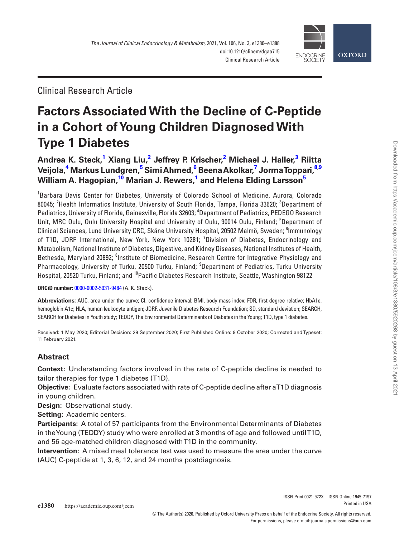

Clinical Research Article

# **Factors Associated With the Decline of C-Peptide in a Cohort of Young Children Diagnosed With Type 1 Diabetes**

**[Andrea K. Steck,](http://orcid.org/0000-0002-5931-9484)[1](#page-0-0) Xiang Liu[,2](#page-0-1) Jeffrey P. Krischer,[2](#page-0-1) Michael J. Haller[,3](#page-0-2) Riitta Veijola,[4](#page-0-3) Markus Lundgren,[5](#page-0-4) Simi Ahmed,[6](#page-0-5) Beena Akolkar[,7](#page-0-6) Jorma Toppari,[8](#page-0-7)[,9](#page-0-8) William A. Hagopian[,10](#page-0-9) Marian J. Rewers,[1](#page-0-0) and Helena Elding Larsso[n5](#page-0-4)**

<span id="page-0-6"></span><span id="page-0-5"></span><span id="page-0-4"></span><span id="page-0-3"></span><span id="page-0-2"></span><span id="page-0-1"></span><span id="page-0-0"></span>1 Barbara Davis Center for Diabetes, University of Colorado School of Medicine, Aurora, Colorado 80045; <sup>2</sup>Health Informatics Institute, University of South Florida, Tampa, Florida 33620; <sup>3</sup>Department of Pediatrics, University of Florida, Gainesville, Florida 32603; <sup>4</sup>Department of Pediatrics, PEDEGO Research Unit, MRC Oulu, Oulu University Hospital and University of Oulu, 90014 Oulu, Finland; <sup>5</sup>Department of Clinical Sciences, Lund University CRC, Skåne University Hospital, 20502 Malmö, Sweden; <sup>6</sup>lmmunology of T1D, JDRF International, New York, New York 10281; <sup>7</sup>Division of Diabetes, Endocrinology and Metabolism, National Institute of Diabetes, Digestive, and Kidney Diseases, National Institutes of Health, Bethesda, Maryland 20892; <sup>8</sup>Institute of Biomedicine, Research Centre for Integrative Physiology and Pharmacology, University of Turku, 20500 Turku, Finland; <sup>9</sup>Department of Pediatrics, Turku University Hospital, 20520 Turku, Finland; and <sup>10</sup>Pacific Diabetes Research Institute, Seattle, Washington 98122

<span id="page-0-9"></span><span id="page-0-8"></span><span id="page-0-7"></span>**ORCiD number:** [0000-0002-5931-9484](http://orcid.org/0000-0002-5931-9484) (A. K. Steck).

**Abbreviations:** AUC, area under the curve; CI, confidence interval; BMI, body mass index; FDR, first-degree relative; HbA1c, hemoglobin A1c; HLA, human leukocyte antigen; JDRF, Juvenile Diabetes Research Foundation; SD, standard deviation; SEARCH, SEARCH for Diabetes in Youth study; TEDDY, The Environmental Determinants of Diabetes in the Young; T1D, type 1 diabetes.

Received: 1 May 2020; Editorial Decision: 29 September 2020; First Published Online: 9 October 2020; Corrected and Typeset: 11 February 2021.

# **Abstract**

**Context:** Understanding factors involved in the rate of C-peptide decline is needed to tailor therapies for type 1 diabetes (T1D).

**Objective:** Evaluate factors associated with rate of C-peptide decline after a T1D diagnosis in young children.

**Design:** Observational study.

**Setting:** Academic centers.

**Participants:** A total of 57 participants from the Environmental Determinants of Diabetes in the Young (TEDDY) study who were enrolled at 3 months of age and followed until T1D, and 56 age-matched children diagnosed with T1D in the community.

**Intervention:** A mixed meal tolerance test was used to measure the area under the curve (AUC) C-peptide at 1, 3, 6, 12, and 24 months postdiagnosis.

ISSN Print 0021-972X ISSN Online 1945-7197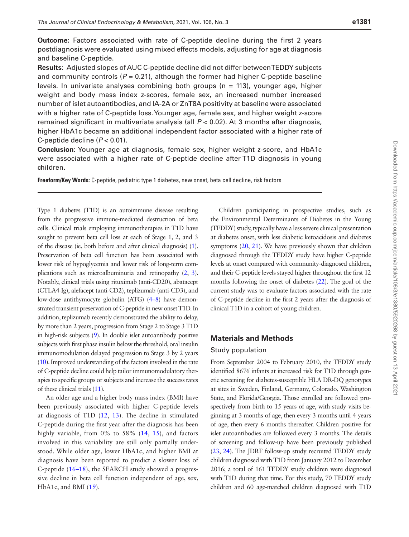**Outcome:** Factors associated with rate of C-peptide decline during the first 2 years postdiagnosis were evaluated using mixed effects models, adjusting for age at diagnosis and baseline C-peptide.

**Results:** Adjusted slopes of AUC C-peptide decline did not differ between TEDDY subjects and community controls  $(P = 0.21)$ , although the former had higher C-peptide baseline levels. In univariate analyses combining both groups ( $n = 113$ ), younger age, higher weight and body mass index z-scores, female sex, an increased number increased number of islet autoantibodies, and IA-2A or ZnT8A positivity at baseline were associated with a higher rate of C-peptide loss. Younger age, female sex, and higher weight z-score remained significant in multivariate analysis (all *P* < 0.02). At 3 months after diagnosis, higher HbA1c became an additional independent factor associated with a higher rate of C-peptide decline (*P* < 0.01).

**Conclusion:** Younger age at diagnosis, female sex, higher weight z-score, and HbA1c were associated with a higher rate of C-peptide decline after T1D diagnosis in young children.

**Freeform/Key Words:** C-peptide, pediatric type 1 diabetes, new onset, beta cell decline, risk factors

Type 1 diabetes (T1D) is an autoimmune disease resulting from the progressive immune-mediated destruction of beta cells. Clinical trials employing immunotherapies in T1D have sought to prevent beta cell loss at each of Stage 1, 2, and 3 of the disease (ie, both before and after clinical diagnosis) [\(1\)](#page-7-0). Preservation of beta cell function has been associated with lower risk of hypoglycemia and lower risk of long-term complications such as microalbuminuria and retinopathy [\(2,](#page-7-1) [3\)](#page-7-2). Notably, clinical trials using rituximab (anti-CD20), abatacept (CTLA4-Ig), alefacept (anti-CD2), teplizumab (anti-CD3), and low-dose antithymocyte globulin (ATG) [\(4–](#page-7-3)[8\)](#page-7-4) have demonstrated transient preservation of C-peptide in new onset T1D. In addition, teplizumab recently demonstrated the ability to delay, by more than 2 years, progression from Stage 2 to Stage 3 T1D in high-risk subjects [\(9](#page-7-5)). In double islet autoantibody positive subjects with first phase insulin below the threshold, oral insulin immunomodulation delayed progression to Stage 3 by 2 years [\(10](#page-7-6)). Improved understanding of the factors involved in the rate of C-peptide decline could help tailor immunomodulatory therapies to specific groups or subjects and increase the success rates of these clinical trials [\(11](#page-7-7)).

An older age and a higher body mass index (BMI) have been previously associated with higher C-peptide levels at diagnosis of T1D [\(12,](#page-7-8) [13\)](#page-7-9). The decline in stimulated C-peptide during the first year after the diagnosis has been highly variable, from 0% to 58% ([14](#page-7-10), [15](#page-7-11)), and factors involved in this variability are still only partially understood. While older age, lower HbA1c, and higher BMI at diagnosis have been reported to predict a slower loss of C-peptide ([16](#page-7-12)–[18](#page-7-13)), the SEARCH study showed a progressive decline in beta cell function independent of age, sex, HbA1c, and BMI [\(19\)](#page-7-14).

Children participating in prospective studies, such as the Environmental Determinants of Diabetes in the Young (TEDDY) study, typically have a less severe clinical presentation at diabetes onset, with less diabetic ketoacidosis and diabetes symptoms ([20](#page-7-15), [21\)](#page-8-0). We have previously shown that children diagnosed through the TEDDY study have higher C-peptide levels at onset compared with community-diagnosed children, and their C-peptide levels stayed higher throughout the first 12 months following the onset of diabetes [\(22\)](#page-8-1). The goal of the current study was to evaluate factors associated with the rate of C-peptide decline in the first 2 years after the diagnosis of clinical T1D in a cohort of young children.

#### **Materials and Methods**

#### Study population

From September 2004 to February 2010, the TEDDY study identified 8676 infants at increased risk for T1D through genetic screening for diabetes-susceptible HLA DR-DQ genotypes at sites in Sweden, Finland, Germany, Colorado, Washington State, and Florida/Georgia. Those enrolled are followed prospectively from birth to 15 years of age, with study visits beginning at 3 months of age, then every 3 months until 4 years of age, then every 6 months thereafter. Children positive for islet autoantibodies are followed every 3 months. The details of screening and follow-up have been previously published [\(23](#page-8-2), [24](#page-8-3)). The JDRF follow-up study recruited TEDDY study children diagnosed with T1D from January 2012 to December 2016; a total of 161 TEDDY study children were diagnosed with T1D during that time. For this study, 70 TEDDY study children and 60 age-matched children diagnosed with T1D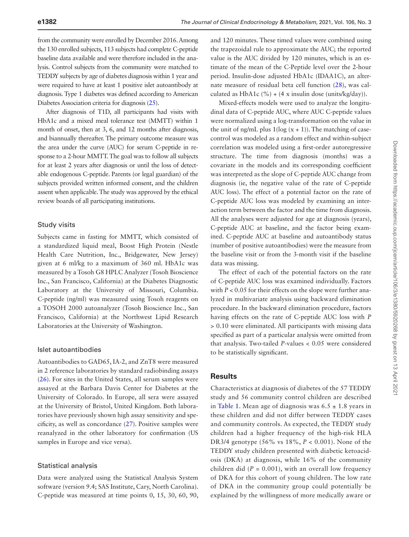from the community were enrolled by December 2016. Among the 130 enrolled subjects, 113 subjects had complete C-peptide baseline data available and were therefore included in the analysis. Control subjects from the community were matched to TEDDY subjects by age of diabetes diagnosis within 1 year and were required to have at least 1 positive islet autoantibody at diagnosis. Type 1 diabetes was defined according to American Diabetes Association criteria for diagnosis [\(25\)](#page-8-4).

After diagnosis of T1D, all participants had visits with HbA1c and a mixed meal tolerance test (MMTT) within 1 month of onset, then at 3, 6, and 12 months after diagnosis, and biannually thereafter. The primary outcome measure was the area under the curve (AUC) for serum C-peptide in response to a 2-hour MMTT. The goal was to follow all subjects for at least 2 years after diagnosis or until the loss of detectable endogenous C-peptide. Parents (or legal guardian) of the subjects provided written informed consent, and the children assent when applicable. The study was approved by the ethical review boards of all participating institutions.

#### Study visits

Subjects came in fasting for MMTT, which consisted of a standardized liquid meal, Boost High Protein (Nestle Health Care Nutrition, Inc., Bridgewater, New Jersey) given at 6 ml/kg to a maximum of 360 ml. HbA1c was measured by a Tosoh G8 HPLC Analyzer (Tosoh Bioscience Inc., San Francisco, California) at the Diabetes Diagnostic Laboratory at the University of Missouri, Columbia. C-peptide (ng/ml) was measured using Tosoh reagents on a TOSOH 2000 autoanalyzer (Tosoh Bioscience Inc., San Francisco, California) at the Northwest Lipid Research Laboratories at the University of Washington.

#### Islet autoantibodies

Autoantibodies to GAD65, IA-2, and ZnT8 were measured in 2 reference laboratories by standard radiobinding assays ([26](#page-8-5)). For sites in the United States, all serum samples were assayed at the Barbara Davis Center for Diabetes at the University of Colorado. In Europe, all sera were assayed at the University of Bristol, United Kingdom. Both laboratories have previously shown high assay sensitivity and specificity, as well as concordance [\(27](#page-8-6)). Positive samples were reanalyzed in the other laboratory for confirmation (US samples in Europe and vice versa).

#### Statistical analysis

Data were analyzed using the Statistical Analysis System software (version 9.4; SAS Institute, Cary, North Carolina). C-peptide was measured at time points 0, 15, 30, 60, 90,

and 120 minutes. These timed values were combined using the trapezoidal rule to approximate the AUC; the reported value is the AUC divided by 120 minutes, which is an estimate of the mean of the C-Peptide level over the 2-hour period. Insulin-dose adjusted HbA1c (IDAA1C), an alternate measure of residual beta cell function [\(28](#page-8-7)), was calculated as HbA1c  $(\%)+(4 \times \{ x \text{ insulin dose (units/kg/day)}).$ 

Mixed-effects models were used to analyze the longitudinal data of C-peptide AUC, where AUC C-peptide values were normalized using a log-transformation on the value in the unit of ng/mL plus  $1(log(x + 1))$ . The matching of casecontrol was modeled as a random effect and within-subject correlation was modeled using a first-order autoregressive structure. The time from diagnosis (months) was a covariate in the models and its corresponding coefficient was interpreted as the slope of C-peptide AUC change from diagnosis (ie, the negative value of the rate of C-peptide AUC loss). The effect of a potential factor on the rate of C-peptide AUC loss was modeled by examining an interaction term between the factor and the time from diagnosis. All the analyses were adjusted for age at diagnosis (years), C-peptide AUC at baseline, and the factor being examined. C-peptide AUC at baseline and autoantibody status (number of positive autoantibodies) were the measure from the baseline visit or from the 3-month visit if the baseline data was missing.

The effect of each of the potential factors on the rate of C-peptide AUC loss was examined individually. Factors with  $P < 0.05$  for their effects on the slope were further analyzed in multivariate analysis using backward elimination procedure. In the backward elimination procedure, factors having effects on the rate of C-peptide AUC loss with *P* > 0.10 were eliminated. All participants with missing data specified as part of a particular analysis were omitted from that analysis. Two-tailed *P*-values < 0.05 were considered to be statistically significant.

# **Results**

Characteristics at diagnosis of diabetes of the 57 TEDDY study and 56 community control children are described in [Table 1.](#page-3-0) Mean age of diagnosis was  $6.5 \pm 1.8$  years in these children and did not differ between TEDDY cases and community controls. As expected, the TEDDY study children had a higher frequency of the high-risk HLA DR3/4 genotype (56% vs 18%, *P* < 0.001). None of the TEDDY study children presented with diabetic ketoacidosis (DKA) at diagnosis, while 16% of the community children did  $(P = 0.001)$ , with an overall low frequency of DKA for this cohort of young children. The low rate of DKA in the community group could potentially be explained by the willingness of more medically aware or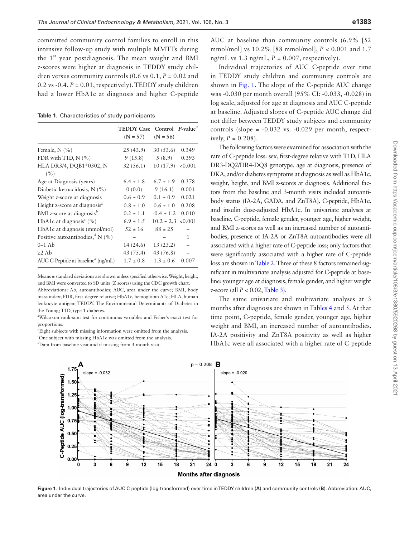committed community control families to enroll in this intensive follow-up study with multiple MMTTs during the 1<sup>st</sup> year postdiagnosis. The mean weight and BMI z-scores were higher at diagnosis in TEDDY study children versus community controls  $(0.6 \text{ vs } 0.1, P = 0.02 \text{ and }$ 0.2 vs  $-0.4$ ,  $P = 0.01$ , respectively). TEDDY study children had a lower HbA1c at diagnosis and higher C-peptide

<span id="page-3-0"></span>**Table 1.** Characteristics of study participants

|                                                  | <b>TEDDY Case</b> | Control $P$ -value <sup><i>a</i></sup> |         |
|--------------------------------------------------|-------------------|----------------------------------------|---------|
|                                                  | $(N = 57)$        | $(N = 56)$                             |         |
| Female, $N$ $(\% )$                              | 25 (43.9)         | 30(53.6)                               | 0.349   |
| FDR with $T1D, N$ (%)                            | 9(15.8)           | 5(8.9)                                 | 0.393   |
| HLA DR3/4, DQB1*0302, N                          | 32(56.1)          | 10 (17.9)                              | < 0.001 |
| (%)                                              |                   |                                        |         |
| Age at Diagnosis (years)                         | $6.4 \pm 1.8$     | $6.7 \pm 1.9$                          | 0.378   |
| Diabetic ketoacidosis, N (%)                     | 0(0.0)            | 9(16.1)                                | 0.001   |
| Weight z-score at diagnosis                      | $0.6 \pm 0.9$     | $0.1 \pm 0.9$                          | 0.021   |
| Height z-score at diagnosis $\mathbf{B}$         | $0.8 \pm 1.0$     | $0.6 \pm 1.0$                          | 0.208   |
| BMI z-score at diagnosis <sup>b</sup>            | $0.2 \pm 1.1$     | $-0.4 \pm 1.2$                         | 0.010   |
| HbA1c at diagnosis <sup><math>c</math></sup> (%) | $6.9 \pm 1.5$     | $10.2 \pm 2.3$                         | < 0.001 |
| HbA1c at diagnosis (mmol/mol)                    | $.52 \pm 16$      | $88 \pm 25$                            |         |
| Positive autoantibodies, $^d$ N (%)              |                   |                                        | 1       |
| $0-1$ Ab                                         | 14 (24.6)         | 13 (23.2)                              |         |
| $\geq$ 2 Ab                                      | 43 (75.4)         | 43 (76.8)                              |         |
| AUC C-Peptide at baseline <sup>d</sup> (ng/mL)   | $1.7 \pm 0.8$     | $1.3 \pm 0.6$                          | 0.007   |

Means ± standard deviations are shown unless specified otherwise. Weight, height, and BMI were converted to SD units (Z scores) using the CDC growth chart. Abbreviations: Ab, autoantibodies; AUC, area under the curve; BMI, body mass index; FDR, first-degree relative; HbA1c, hemoglobin A1c; HLA, human leukocyte antigen; TEDDY, The Environmental Determinants of Diabetes in the Young; T1D, type 1 diabetes.

*a* Wilcoxon rank-sum test for continuous variables and Fisher's exact test for proportions.

*b* Eight subjects with missing information were omitted from the analysis.

*c* One subject with missing HbA1c was omitted from the analysis. *d* Data from baseline visit and if missing from 3-month visit.

AUC at baseline than community controls (6.9% [52 mmol/mol] vs 10.2% [88 mmol/mol], *P* < 0.001 and 1.7 ng/mL vs  $1.3$  ng/mL,  $P = 0.007$ , respectively).

Individual trajectories of AUC C-peptide over time in TEDDY study children and community controls are shown in [Fig. 1.](#page-3-1) The slope of the C-peptide AUC change was -0.030 per month overall (95% CI: -0.033, -0.028) in log scale, adjusted for age at diagnosis and AUC C-peptide at baseline. Adjusted slopes of C-peptide AUC change did not differ between TEDDY study subjects and community controls (slope =  $-0.032$  vs.  $-0.029$  per month, respectively,  $P = 0.208$ ).

The following factors were examined for association with the rate of C-peptide loss: sex, first-degree relative with T1D, HLA DR3-DQ2/DR4-DQ8 genotype, age at diagnosis, presence of DKA, and/or diabetes symptoms at diagnosis as well as HbA1c, weight, height, and BMI z-scores at diagnosis. Additional factors from the baseline and 3-month visits included autoantibody status (IA-2A, GADA, and ZnT8A), C-peptide, HbA1c, and insulin dose-adjusted HbA1c. In univariate analyses at baseline, C-peptide, female gender, younger age, higher weight, and BMI z-scores as well as an increased number of autoantibodies, presence of IA-2A or ZnT8A autoantibodies were all associated with a higher rate of C-peptide loss; only factors that were significantly associated with a higher rate of C-peptide loss are shown in [Table 2.](#page-4-0) Three of these 8 factors remained significant in multivariate analysis adjusted for C-peptide at baseline: younger age at diagnosis, female gender, and higher weight z-score (all *P* < 0.02, [Table 3\)](#page-4-1).

The same univariate and multivariate analyses at 3 months after diagnosis are shown in [Tables 4](#page-4-2) and [5.](#page-4-3) At that time point, C-peptide, female gender, younger age, higher weight and BMI, an increased number of autoantibodies, IA-2A positivity and ZnT8A positivity as well as higher HbA1c were all associated with a higher rate of C-peptide



<span id="page-3-1"></span>**Figure 1.** Individual trajectories of AUC C-peptide (log-transformed) over time in TEDDY children (**A**) and community controls (**B**). Abbreviation: AUC, area under the curve.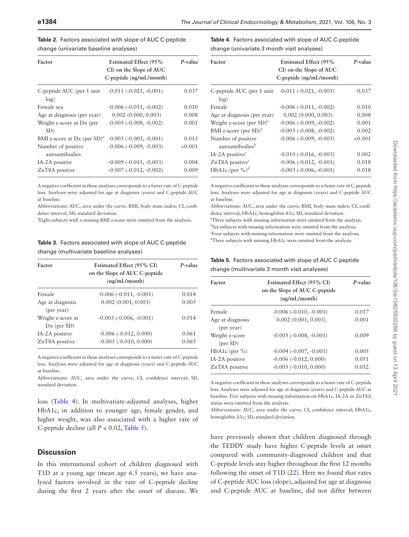| Factor                               | <b>Estimated Effect (95%</b><br>CI) on the Slope of AUC<br>$C$ -peptide $(ng/mL/month)$ | P-value |
|--------------------------------------|-----------------------------------------------------------------------------------------|---------|
| C-peptide AUC (per 1 unit)<br>log)   | $-0.011(-0.021,-0.001)$                                                                 | 0.037   |
| Female sex                           | $-0.006$ $(-0.011, -0.002)$                                                             | 0.010   |
| Age at diagnosis (per year)          | $0.002$ $(0.000, 0.003)$                                                                | 0.008   |
| Weight z-score at Dx (per<br>SD)     | $-0.005$ $(-0.008, -0.002)$                                                             | 0.001   |
| BMI z-score at Dx (per $SD^a$ )      | $-0.003(-0.005,-0.001)$                                                                 | 0.013   |
| Number of positive<br>autoantibodies | $-0.006$ $(-0.009, -0.003)$                                                             | < 0.001 |
| IA-2A positive                       | $-0.009$ $(-0.015, -0.003)$                                                             | 0.004   |
| ZnT8A positive                       | $-0.007 (-0.012, -0.002)$                                                               | 0.009   |

<span id="page-4-0"></span>**Table 2.** Factors associated with slope of AUC C-peptide change (univariate baseline analyses)

A negative coefficient in these analyses corresponds to a faster rate of C-peptide loss. Analyses were adjusted for age at diagnosis (years) and C-peptide AUC at baseline.

Abbreviations: AUC, area under the curve; BMI, body mass index; CI, confidence interval; SD, standard deviation.

*a* Eight subjects with a missing BMI z-score were omitted from the analysis.

<span id="page-4-1"></span>**Table 3.** Factors associated with slope of AUC C-peptide change (multivariate baseline analyses)

| Factor                             | Estimated Effect (95% CI)<br>on the Slope of AUC C-peptide<br>(ng/mL/month) | P-value |
|------------------------------------|-----------------------------------------------------------------------------|---------|
| Female                             | $-0.006(-0.011,-0.001)$                                                     | 0.014   |
| Age at diagnosis<br>(per year)     | 0.002(0.001, 0.003)                                                         | 0.005   |
| Weight z-score at<br>$Dx$ (per SD) | $-0.003$ $(-0.006, -0.001)$                                                 | 0.014   |
| IA-2A positive                     | $-0.006$ $(-0.012, 0.000)$                                                  | 0.061   |
| ZnT8A positive                     | $-0.005$ $(-0.010, 0.000)$                                                  | 0.065   |

A negative coefficient in these analyses corresponds to a faster rate of C-peptide loss. Analyses were adjusted for age at diagnosis (years) and C-peptide AUC at baseline.

Abbreviations: AUC, area under the curve; CI, confidence interval; SD, standard deviation.

loss ([Table 4\)](#page-4-2). In multivariate-adjusted analyses, higher HbA1c, in addition to younger age, female gender, and higher weight, was also associated with a higher rate of C-peptide decline (all *P* < 0.02, [Table 5\)](#page-4-3).

#### **Discussion**

In this international cohort of children diagnosed with T1D at a young age (mean age 6.5 years), we have analyzed factors involved in the rate of C-peptide decline during the first 2 years after the onset of disease. We <span id="page-4-2"></span>**Table 4.** Factors associated with slope of AUC C-peptide change (univariate 3 month visit analyses)

| Factor                                            | <b>Estimated Effect (95%</b><br>CI) on the Slope of AUC<br>C-peptide (ng/mL/month) | P-value    |
|---------------------------------------------------|------------------------------------------------------------------------------------|------------|
| C-peptide AUC (per 1 unit<br>log)                 | $-0.011 (-0.021, -0.001)$                                                          | 0.037      |
| Female                                            | $-0.006(-0.011,-0.002)$                                                            | 0.010      |
| Age at diagnosis (per year)                       | $0.002$ $(0.000, 0.003)$                                                           | 0.008      |
| Weight z-score (per $SD$ ) <sup><i>a</i></sup>    | $-0.006$ $(-0.009, -0.002)$                                                        | 0.001      |
| BMI z-score (per $SD$ ) <sup>a</sup>              | $-0.005$ $(-0.008, -0.002)$                                                        | 0.002      |
| Number of positive<br>autoantibodies <sup>b</sup> | $-0.006$ $(-0.009, -0.003)$                                                        | ${<}0.001$ |
| IA-2A positive $\epsilon$                         | $-0.010$ $(-0.016, -0.003)$                                                        | 0.002      |
| ZnT8A positive <sup>c</sup>                       | $-0.006(-0.012,-0.001)$                                                            | 0.018      |
| HbA1c (per $\%$ ) <sup>d</sup>                    | $-0.003$ $(-0.006, -0.001)$                                                        | 0.018      |

A negative coefficient in these analyses corresponds to a faster rate of C-peptide loss. Analyses were adjusted for age at diagnosis (years) and C-peptide AUC at baseline.

Abbreviations: AUC, area under the curve; BMI, body mass index; CI, confidence interval; HbA1c, hemoglobin A1c; SD, standard deviation. *a* Three subjects with missing information were omitted from the analysis. *b* Six subjects with missing information were omitted from the analysis. *c* Four subjects with missing information were omitted from the analysis. *d* Three subjects with missing HbA1c were omitted from the analysis.

#### <span id="page-4-3"></span>**Table 5.** Factors associated with slope of AUC C-peptide change (multivariate 3 month visit analyses)

| Estimated Effect (95% CI)<br>on the Slope of AUC C-peptide<br>(ng/mL/month) | P-value |
|-----------------------------------------------------------------------------|---------|
| $-0.006$ $(-0.010, -0.001)$                                                 | 0.017   |
| 0.002(0.001, 0.003)                                                         | 0.001   |
| $-0.005$ $(-0.008, -0.001)$                                                 | 0.009   |
| $-0.004$ $(-0.007, -0.001)$                                                 | 0.005   |
| $-0.006$ $(-0.012, 0.000)$                                                  | 0.051   |
| $-0.005$ $(-0.010, 0.000)$                                                  | 0.052   |
|                                                                             |         |

A negative coefficient in these analyses corresponds to a faster rate of C-peptide loss. Analyses were adjusted for age at diagnosis (years) and C-peptide AUC at baseline. Five subjects with missing information on HbA1c, IA-2A or ZnT8A status were omitted from the analysis.

Abbreviations: AUC, area under the curve; CI, confidence interval; HbA1c, hemoglobin A1c; SD, standard deviation.

have previously shown that children diagnosed through the TEDDY study have higher C-peptide levels at onset compared with community-diagnosed children and that C-peptide levels stay higher throughout the first 12 months following the onset of T1D ([22\)](#page-8-1). Here we found that rates of C-peptide AUC loss (slope), adjusted for age at diagnosis and C-peptide AUC at baseline, did not differ between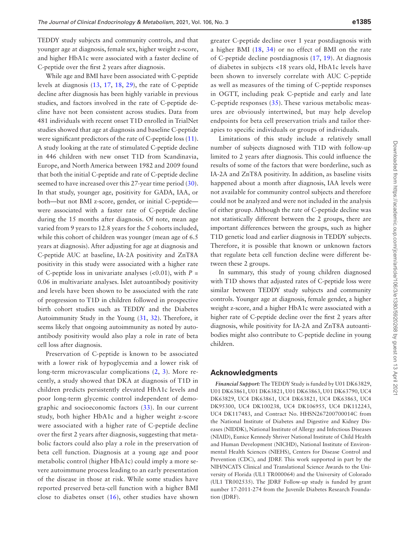TEDDY study subjects and community controls, and that younger age at diagnosis, female sex, higher weight z-score, and higher HbA1c were associated with a faster decline of C-peptide over the first 2 years after diagnosis.

While age and BMI have been associated with C-peptide levels at diagnosis ([13](#page-7-9), [17](#page-7-16), [18,](#page-7-13) [29\)](#page-8-8), the rate of C-peptide decline after diagnosis has been highly variable in previous studies, and factors involved in the rate of C-peptide decline have not been consistent across studies. Data from 481 individuals with recent onset T1D enrolled in TrialNet studies showed that age at diagnosis and baseline C-peptide were significant predictors of the rate of C-peptide loss [\(11](#page-7-7)). A study looking at the rate of stimulated C-peptide decline in 446 children with new onset T1D from Scandinavia, Europe, and North America between 1982 and 2009 found that both the initial C-peptide and rate of C-peptide decline seemed to have increased over this 27-year time period [\(30](#page-8-9)). In that study, younger age, positivity for GADA, IAA, or both—but not BMI z-score, gender, or initial C-peptide were associated with a faster rate of C-peptide decline during the 15 months after diagnosis. Of note, mean age varied from 9 years to 12.8 years for the 5 cohorts included, while this cohort of children was younger (mean age of 6.5 years at diagnosis). After adjusting for age at diagnosis and C-peptide AUC at baseline, IA-2A positivity and ZnT8A positivity in this study were associated with a higher rate of C-peptide loss in univariate analyses  $( $0.01$ ), with  $P =$$ 0.06 in multivariate analyses. Islet autoantibody positivity and levels have been shown to be associated with the rate of progression to T1D in children followed in prospective birth cohort studies such as TEDDY and the Diabetes Autoimmunity Study in the Young ([31](#page-8-10), [32](#page-8-11)). Therefore, it seems likely that ongoing autoimmunity as noted by autoantibody positivity would also play a role in rate of beta cell loss after diagnosis.

Preservation of C-peptide is known to be associated with a lower risk of hypoglycemia and a lower risk of long-term microvascular complications ([2](#page-7-1), [3\)](#page-7-2). More recently, a study showed that DKA at diagnosis of T1D in children predicts persistently elevated HbA1c levels and poor long-term glycemic control independent of demographic and socioeconomic factors [\(33\)](#page-8-12). In our current study, both higher HbA1c and a higher weight z-score were associated with a higher rate of C-peptide decline over the first 2 years after diagnosis, suggesting that metabolic factors could also play a role in the preservation of beta cell function. Diagnosis at a young age and poor metabolic control (higher HbA1c) could imply a more severe autoimmune process leading to an early presentation of the disease in those at risk. While some studies have reported preserved beta-cell function with a higher BMI close to diabetes onset [\(16\)](#page-7-12), other studies have shown

greater C-peptide decline over 1 year postdiagnosis with a higher BMI ([18](#page-7-13), [34](#page-8-13)) or no effect of BMI on the rate of C-peptide decline postdiagnosis ([17](#page-7-16), [19](#page-7-14)). At diagnosis of diabetes in subjects <18 years old, HbA1c levels have been shown to inversely correlate with AUC C-peptide as well as measures of the timing of C-peptide responses in OGTT, including peak C-peptide and early and late C-peptide responses  $(35)$ . These various metabolic measures are obviously intertwined, but may help develop endpoints for beta cell preservation trials and tailor therapies to specific individuals or groups of individuals.

Limitations of this study include a relatively small number of subjects diagnosed with T1D with follow-up limited to 2 years after diagnosis. This could influence the results of some of the factors that were borderline, such as IA-2A and ZnT8A positivity. In addition, as baseline visits happened about a month after diagnosis, IAA levels were not available for community control subjects and therefore could not be analyzed and were not included in the analysis of either group. Although the rate of C-peptide decline was not statistically different between the 2 groups, there are important differences between the groups, such as higher T1D genetic load and earlier diagnosis in TEDDY subjects. Therefore, it is possible that known or unknown factors that regulate beta cell function decline were different between these 2 groups.

In summary, this study of young children diagnosed with T1D shows that adjusted rates of C-peptide loss were similar between TEDDY study subjects and community controls. Younger age at diagnosis, female gender, a higher weight z-score, and a higher HbA1c were associated with a higher rate of C-peptide decline over the first 2 years after diagnosis, while positivity for IA-2A and ZnT8A autoantibodies might also contribute to C-peptide decline in young children.

### **Acknowledgments**

*Financial Support:* The TEDDY Study is funded by U01 DK63829, U01 DK63861, U01 DK63821, U01 DK63863, U01 DK63790, UC4 DK63829, UC4 DK63861, UC4 DK63821, UC4 DK63863, UC4 DK95300, UC4 DK100238, UC4 DK106955, UC4 DK112243, UC4 DK117483, and Contract No. HHSN267200700014C from the National Institute of Diabetes and Digestive and Kidney Diseases (NIDDK), National Institute of Allergy and Infectious Diseases (NIAID), Eunice Kennedy Shriver National Institute of Child Health and Human Development (NICHD), National Institute of Environmental Health Sciences (NIEHS), Centers for Disease Control and Prevention (CDC), and JDRF. This work supported in part by the NIH/NCATS Clinical and Translational Science Awards to the University of Florida (UL1 TR000064) and the University of Colorado (UL1 TR002535). The JDRF Follow-up study is funded by grant number 17-2011-274 from the Juvenile Diabetes Research Foundation (JDRF).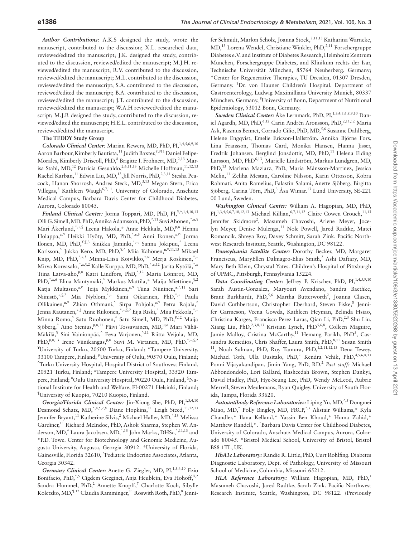*Author Contributions:* A.K.S designed the study, wrote the manuscript, contributed to the discussion; X.L. researched data, reviewed/edited the manuscript; J.K. designed the study, contributed to the discussion, reviewed/edited the manuscript; M.J.H. reviewed/edited the manuscript; R.V. contributed to the discussion, reviewed/edited the manuscript; M.L. contributed to the discussion, reviewed/edited the manuscript; S.A. contributed to the discussion, reviewed/edited the manuscript; B.A. contributed to the discussion, reviewed/edited the manuscript; J.T. contributed to the discussion, reviewed/edited the manuscript; W.A.H reviewed/edited the manuscript; M.J.R designed the study, contributed to the discussion, reviewed/edited the manuscript; H.E.L. contributed to the discussion, reviewed/edited the manuscript.

#### **The TEDDY Study Group**

*Colorado Clinical Center: Marian Rewers, MD, PhD, PI,<sup>1,4,5,6,9,10</sup>* Aaron Barbour, Kimberly Bautista,<sup>11</sup> Judith Baxter,<sup>8,911</sup> Daniel Felipe-Morales, Kimberly Driscoll, PhD,<sup>8</sup> Brigitte I. Frohnert, MD,<sup>2,13</sup> Marisa Stahl, MD,<sup>12</sup> Patricia Gesualdo,<sup>2,6,11,13</sup> Michelle Hoffman,<sup>11,12,13</sup> Rachel Karban,<sup>11</sup> Edwin Liu, MD,<sup>12</sup>,Jill Norris, PhD,<sup>2,3,11</sup> Stesha Peacock, Hanan Shorrosh, Andrea Steck, MD,<sup>3,13</sup> Megan Stern, Erica Villegas,<sup>2</sup> Kathleen Waugh<sup>6,7,11</sup>. University of Colorado, Anschutz Medical Campus, Barbara Davis Center for Childhood Diabetes, Aurora, Colorado 80045.

*Finland Clinical Center:* Jorma Toppari, MD, PhD, PI,¥,^,1,4,10,13 Olli G. Simell, MD, PhD, Annika Adamsson, PhD,^,11 Suvi Ahonen,\*,±,§ Mari Åkerlund, \*,±,§ Leena Hakola, \* Anne Hekkala, MD,<sup>n,o</sup> Henna Holappa,<sup>n,¤</sup> Heikki Hyöty, MD, PhD,<sup>\*,±,6</sup> Anni Ikonen,<sup>n,¤</sup> Jorma Ilonen, MD, PhD,<sup>¥,¶,3</sup> Sinikka Jäminki,<sup>\*,±,</sup> Sanna Jokipuu,<sup>^</sup> Leena Karlsson,^ Jukka Kero, MD, PhD,<sup>¥,^</sup> Miia Kähönen,<sup>µ,¤,11,13</sup> Mikael Knip, MD, PhD, \*,±,5 Minna-Liisa Koivikko, "," Merja Koskinen, \*,± Mirva Koreasalo,<sup>\*,±,§,2</sup> Kalle Kurppa, MD, PhD,<sup>\*,±,12</sup> Jarita Kytölä,<sup>\*,±</sup> Tiina Latva-aho,<sup>µ,¤</sup> Katri Lindfors, PhD,<sup>\*,12</sup> Maria Lönnrot, MD, PhD, \*,±,6 Elina Mäntymäki,^ Markus Mattila,\* Maija Miettinen, \$,2 Katja Multasuo,<br/> $^{\mathfrak{u},\mathfrak{v}}$  Teija Mykkänen,<br> $^{\mathfrak{u},\mathfrak{v}}$ Tiina Niininen,<br><br/>\*.<br>\*,\*11 Sari Niinistö,±,§,2 Mia Nyblom,\*,± Sami Oikarinen, PhD,\*,± Paula Ollikainen,<sup>µ,¤</sup> Zhian Othmani,<sup>^</sup> Sirpa Pohjola,<sup>n,¤</sup> Petra Rajala,<sup>^</sup> Jenna Rautanen,±,§ Anne Riikonen,\*,±,§,2 Eija Riski,^ Miia Pekkola,\*,± Minna Romo,^ Satu Ruohonen,^ Satu Simell, MD, PhD,<sup>¥,12</sup> Maija Sjöberg,<sup>^</sup> Aino Stenius,<sup>µ,¤,11</sup> Päivi Tossavainen, MD,<sup>µ,¤</sup> Mari Vähä-Mäkilä,<sup>¥</sup> Sini Vainionpää,^ Eeva Varjonen,<sup>^,11</sup> Riitta Veijola, MD, PhD, $\mu$ , $\alpha$ ,13 Irene Viinikangas, $\mu$ , $\alpha$  Suvi M. Virtanen, MD, PhD.<sup>\*</sup>, $\pm$ , §,2 ¥ University of Turku, 20500 Turku, Finland; \*Tampere University, 33100 Tampere, Finland; "University of Oulu, 90570 Oulu, Finland;<br>^Turku University Hospital, Hospital District of Southwest Finland; Turku University Hospital, Hospital District of Southwest Finland, 20521 Turku, Finland; <sup>±</sup> Tampere University Hospital, 33520 Tampere, Finland; <sup>o</sup>Oulu University Hospital, 90220 Oulu, Finland, <sup>§</sup>National Institute for Health and Welfare, FI-00271 Helsinki, Finland; ¶ University of Kuopio, 70210 Kuopio, Finland.

Georgia/Florida Clinical Center: Jin-Xiong She, PhD, PI,<sup>1,3,4,10</sup> Desmond Schatz, MD,<sup>\*,4,5,7,8</sup> Diane Hopkins,<sup>11</sup> Leigh Steed,<sup>11,12,13</sup> Jennifer Bryant,<sup>11</sup> Katherine Silvis,<sup>2</sup> Michael Haller, MD,<sup>\*,13</sup> Melissa Gardiner,<sup>11</sup> Richard McIndoe, PhD, Ashok Sharma, Stephen W. Anderson, MD,<sup>^</sup> Laura Jacobsen, MD,<sup>\*,13</sup> John Marks, DHSc,<sup>\*,11,13</sup> and \*P.D. Towe. Center for Biotechnology and Genomic Medicine, Augusta University, Augusta, Georgia 30912. \*University of Florida, Gainesville, Florida 32610, ^ Pediatric Endocrine Associates, Atlanta, Georgia 30342.

Germany Clinical Center: Anette G. Ziegler, MD, PI,<sup>1,3,4,10</sup> Ezio Bonifacio, PhD,<sup>\*,5</sup> Cigdem Gezginci, Anja Heublein, Eva Hohoff,<sup>Y,2</sup> Sandra Hummel, PhD,<sup>2</sup> Annette Knopff,<sup>7</sup> Charlotte Koch, Sibylle Koletzko, MD, <sup>¶, 12</sup> Claudia Ramminger, <sup>11</sup> Roswith Roth, PhD, <sup>8</sup> Jenni-

fer Schmidt, Marlon Scholz, Joanna Stock, 8,11,13 Katharina Warncke, MD,<sup>13</sup> Lorena Wendel, Christiane Winkler, PhD,<sup>2,11</sup> Forschergruppe Diabetes e.V. and Institute of Diabetes Research, Helmholtz Zentrum München, Forschergruppe Diabetes, and Klinikum rechts der Isar, Technische Universität München, 85764 Neuherberg, Germany; \*Center for Regenerative Therapies, TU Dresden, 01307 Dresden, Germany, ¶ Dr. von Hauner Children's Hospital, Department of Gastroenterology, Ludwig Maximillians University Munich, 80337 München, Germany, <sup>¥</sup>University of Bonn, Department of Nutritional Epidemiology, 53012 Bonn, Germany.

*Sweden Clinical Center:* Åke Lernmark, PhD, PI,<sup>1,3,4,5,6,8,9,10</sup> Daniel Agardh, MD, PhD,<sup>6,12</sup> Carin Andrén Aronsson, PhD,<sup>2,11,12</sup> Maria Ask, Rasmus Bennet, Corrado Cilio, PhD, MD,<sup>5,6</sup> Susanne Dahlberg, Helene Engqvist, Emelie Ericson-Hallström, Annika Björne Fors, Lina Fransson, Thomas Gard, Monika Hansen, Hanna Jisser, Fredrik Johansen, Berglind Jonsdottir, MD, PhD,<sup>11</sup> Helena Elding Larsson, MD, PhD<sup>6,13</sup>, Marielle Lindström, Markus Lundgren, MD, PhD,13 Marlena Maziarz, PhD, Maria Månsson-Martinez, Jessica Melin,<sup>11</sup> Zeliha Mestan, Caroline Nilsson, Karin Ottosson, Kobra Rahmati, Anita Ramelius, Falastin Salami, Anette Sjöberg, Birgitta Sjöberg, Carina Törn, PhD,<sup>3</sup> Åsa Wimar.<sup>13</sup> Lund University, SE-221 00 Lund, Sweden.

*Washington Clinical Center:* William A. Hagopian, MD, PhD,  $PI_{n}^{1,3,4,5,6,7,10,12,13}$  Michael Killian,<sup>6,7,11,12</sup> Claire Cowen Crouch,<sup>11,13</sup> Jennifer Skidmore<sup>2</sup>, Masumeh Chavoshi, Arlene Meyer, Jocelyn Meyer, Denise Mulenga,<sup>11</sup> Nole Powell, Jared Radtke, Matei Romancik, Shreya Roy, Davey Schmitt, Sarah Zink. Pacific Northwest Research Institute, Seattle, Washington, DC 98122.

*Pennsylvania Satellite Center:* Dorothy Becker, MD, Margaret Franciscus, MaryEllen Dalmagro-Elias Smith,<sup>2</sup> Ashi Daftary, MD, Mary Beth Klein, Chrystal Yates. Children's Hospital of Pittsburgh of UPMC, Pittsburgh, Pennsylvania 15224.

Data Coordinating Center: Jeffrey P. Krischer, PhD, PI,<sup>1,4,5,9,10</sup> Sarah Austin-Gonzalez, Maryouri Avendano, Sandra Baethke, Brant Burkhardt, PhD,<sup>5,6</sup> Martha Butterworth<sup>2</sup>, Joanna Clasen, David Cuthbertson, Christopher Eberhard, Steven Fiske,<sup>8</sup> Jennifer Garmeson, Veena Gowda, Kathleen Heyman, Belinda Hsiao, Christina Karges, Francisco Perez Laras, Qian Li, PhD,<sup>2,3</sup> Shu Liu, Xiang Liu, PhD,<sup>2,3,8,13</sup> Kristian Lynch, PhD<sup>5,6,8</sup>, Colleen Maguire, Jamie Malloy, Cristina McCarthy,<sup>11</sup> Hemang Parikh, PhD<sup>3</sup>, Cassandra Remedios, Chris Shaffer, Laura Smith, PhD,  ${}^{8,11}$  Susan Smith  ${}^{11}$ , Noah Sulman, PhD, Roy Tamura, PhD,  ${}^{1,2,11,12,13}$  Dena Tewey, Michael Toth, Ulla Uusitalo, PhD,<sup>2</sup> Kendra Vehik, PhD,<sup>4,5,6,8,13</sup> Ponni Vijayakandipan, Jimin Yang, PhD, RD.<sup>2</sup> Past staff: Michael Abbondondolo, Lori Ballard, Rasheedah Brown, Stephen Dankyi, David Hadley, PhD, Hye-Seung Lee, PhD, Wendy McLeod, Aubrie Merrell, Steven Meulemans, Ryan Quigley. University of South Florida, Tampa, Florida 33620.

*Autoantibody Reference Laboratories:* Liping Yu, MD,^,5 Dongmei Miao, MD, Polly Bingley, MD, FRCP, 5 Alistair Williams,\* Kyla Chandler,\* Ilana Kelland,\* Yassin Ben Khoud,\* Huma Zahid,\* Matthew Randell,\*. ^ Barbara Davis Center for Childhood Diabetes, University of Colorado, Anschutz Medical Campus, Aurora, Colorado 80045. \*Bristol Medical School, University of Bristol, Bristol BS8 1TL, UK.

*HbA1c Laboratory:* Randie R. Little, PhD, Curt Rohlfing. Diabetes Diagnostic Laboratory, Dept. of Pathology, University of Missouri School of Medicine, Columbia, Missouri 65212.

*HLA Reference Laboratory:* William Hagopian, MD, PhD,<sup>3</sup> Masumeh Chavoshi, Jared Radtke, Sarah Zink. Pacific Northwest Research Institute, Seattle, Washington, DC 98122. (Previously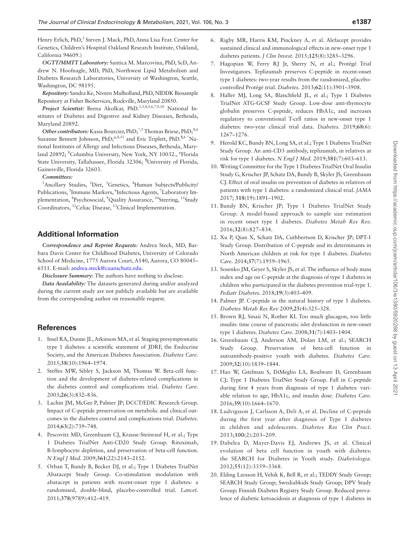Henry Erlich, PhD,<sup>3</sup> Steven J. Mack, PhD, Anna Lisa Fear. Center for Genetics, Children's Hospital Oakland Research Institute, Oakland, California 94609.)

*OGTT/MMTT Laboratory:* Santica M. Marcovina, PhD, ScD, Andrew N. Hoofnagle, MD, PhD, Northwest Lipid Metabolism and Diabetes Research Laboratories, University of Washington, Seattle, Washington, DC 98195.

*Repository:* Sandra Ke, Niveen Mulholland, PhD, NIDDK Biosample Repository at Fisher BioServices, Rockville, Maryland 20850.

Project Scientist: Beena Akolkar, PhD.<sup>1,3,4,5,6,7,9,10</sup> National Institutes of Diabetes and Digestive and Kidney Diseases, Bethesda, Maryland 20892.

*Other contributors:* Kasia Bourcier, PhD;\*,5 Thomas Briese, PhD;¥,6 Suzanne Bennett Johnson, PhD;<sup> $\mu$ ,8,11</sup> and Eric Triplett, PhD.<sup> $\mu$ ,6 \*</sup>National Institutes of Allergy and Infectious Diseases, Bethesda, Maryland 20892; <sup>¥</sup>Columbia University, New York, NY 10032., <sup>µ</sup>Florida State University, Tallahassee, Florida 32306; ¶ University of Florida, Gainesville, Florida 32603.

#### *Committees:*

<sup>1</sup>Ancillary Studies, <sup>2</sup>Diet, <sup>3</sup>Genetics, <sup>4</sup>Human Subjects/Publicity/ Publications, <sup>5</sup>Immune Markers, <sup>6</sup>Infectious Agents, <sup>7</sup>Laboratory Implementation, <sup>8</sup>Psychosocial, <sup>9</sup>Quality Assurance, <sup>10</sup>Steering, <sup>11</sup>Study Coordinators, 12Celiac Disease, 13Clinical Implementation.

# **Additional Information**

*Correspondence and Reprint Requests:* Andrea Steck, MD, Barbara Davis Center for Childhood Diabetes, University of Colorado School of Medicine, 1775 Aurora Court, A140, Aurora, CO 80045– 6511. E-mail: [andrea.steck@cuanschutz.edu](mailto:andrea.steck@cuanschutz.edu?subject=).

*Disclosure Summary*: The authors have nothing to disclose.

*Data Availability:* The datasets generated during and/or analyzed during the current study are not publicly available but are available from the corresponding author on reasonable request.

## **References**

- <span id="page-7-0"></span>1. Insel RA, Dunne JL, Atkinson MA, et al. Staging presymptomatic type 1 diabetes: a scientific statement of JDRF, the Endocrine Society, and the American Diabetes Association. *Diabetes Care.* 2015;**38**(10):1964–1974.
- <span id="page-7-1"></span>2. Steffes MW, Sibley S, Jackson M, Thomas W. Beta-cell function and the development of diabetes-related complications in the diabetes control and complications trial. *Diabetes Care.* 2003;**26**(3):832–836.
- <span id="page-7-2"></span>3. Lachin JM, McGee P, Palmer JP; DCCT/EDIC Research Group. Impact of C-peptide preservation on metabolic and clinical outcomes in the diabetes control and complications trial. *Diabetes.* 2014;**63**(2):739–748.
- <span id="page-7-3"></span>4. Pescovitz MD, Greenbaum CJ, Krause-Steinrauf H, et al.; Type 1 Diabetes TrialNet Anti-CD20 Study Group. Rituximab, B-lymphocyte depletion, and preservation of beta-cell function. *N Engl J Med.* 2009;**361**(22):2143–2152.
- 5. Orban T, Bundy B, Becker DJ, et al.; Type 1 Diabetes TrialNet Abatacept Study Group. Co-stimulation modulation with abatacept in patients with recent-onset type 1 diabetes: a randomised, double-blind, placebo-controlled trial. *Lancet.* 2011;**378**(9789):412–419.
- 6. Rigby MR, Harris KM, Pinckney A, et al. Alefacept provides sustained clinical and immunological effects in new-onset type 1 diabetes patients. *J Clin Invest.* 2015;**125**(8):3285–3296.
- 7. Hagopian W, Ferry RJ Jr, Sherry N, et al.; Protégé Trial Investigators. Teplizumab preserves C-peptide in recent-onset type 1 diabetes: two-year results from the randomized, placebocontrolled Protégé trial. *Diabetes.* 2013;**62**(11):3901–3908.
- <span id="page-7-4"></span>8. Haller MJ, Long SA, Blanchfield JL, et al.; Type 1 Diabetes TrialNet ATG-GCSF Study Group. Low-dose anti-thymocyte globulin preserves C-peptide, reduces HbA1c, and increases regulatory to conventional T-cell ratios in new-onset type 1 diabetes: two-year clinical trial data. *Diabetes.* 2019;**68**(6): 1267–1276.
- <span id="page-7-5"></span>9. Herold KC, Bundy BN, Long SA, et al.; Type 1 Diabetes TrialNet Study Group. An anti-CD3 antibody, teplizumab, in relatives at risk for type 1 diabetes. *N Engl J Med.* 2019;**381**(7):603–613.
- <span id="page-7-6"></span>10. Writing Committee for the Type 1 Diabetes TrialNet Oral Insulin Study G, Krischer JP, Schatz DA, Bundy B, Skyler JS, Greenbaum CJ. Effect of oral insulin on prevention of diabetes in relatives of patients with type 1 diabetes: a randomized clinical trial. *JAMA* 2017; **318**(19):1891–1902.
- <span id="page-7-7"></span>11. Bundy BN, Krischer JP; Type 1 Diabetes TrialNet Study Group. A model-based approach to sample size estimation in recent onset type 1 diabetes. *Diabetes Metab Res Rev.* 2016;**32**(8):827–834.
- <span id="page-7-8"></span>12. Xu P, Qian X, Schatz DA, Cuthbertson D, Krischer JP; DPT-1 Study Group. Distribution of C-peptide and its determinants in North American children at risk for type 1 diabetes. *Diabetes Care.* 2014;**37**(7):1959–1965.
- <span id="page-7-9"></span>13. Sosenko JM, Geyer S, Skyler JS, et al. The influence of body mass index and age on C-peptide at the diagnosis of type 1 diabetes in children who participated in the diabetes prevention trial-type 1. *Pediatr Diabetes.* 2018;**19**(3):403–409.
- <span id="page-7-10"></span>14. Palmer JP. C-peptide in the natural history of type 1 diabetes. *Diabetes Metab Res Rev* 2009;**25**(4):325–328.
- <span id="page-7-11"></span>15. Brown RJ, Sinaii N, Rother KI. Too much glucagon, too little insulin: time course of pancreatic islet dysfunction in new-onset type 1 diabetes. *Diabetes Care.* 2008;**31**(7):1403–1404.
- <span id="page-7-12"></span>16. Greenbaum CJ, Anderson AM, Dolan LM, et al.; SEARCH Study Group. Preservation of beta-cell function in autoantibody-positive youth with diabetes. *Diabetes Care.* 2009;**32**(10):1839–1844.
- <span id="page-7-16"></span>17. Hao W, Gitelman S, DiMeglio LA, Boulware D, Greenbaum CJ; Type 1 Diabetes TrialNet Study Group. Fall in C-peptide during first 4 years from diagnosis of type 1 diabetes: variable relation to age, HbA1c, and insulin dose. *Diabetes Care.* 2016;**39**(10):1664–1670.
- <span id="page-7-13"></span>18. Ludvigsson J, Carlsson A, Deli A, et al. Decline of C-peptide during the first year after diagnosis of Type 1 diabetes in children and adolescents. *Diabetes Res Clin Pract.* 2013;**100**(2):203–209.
- <span id="page-7-14"></span>19. Dabelea D, Mayer-Davis EJ, Andrews JS, et al. Clinical evolution of beta cell function in youth with diabetes: the SEARCH for Diabetes in Youth study. *Diabetologia.* 2012;**55**(12):3359–3368.
- <span id="page-7-15"></span>20. Elding Larsson H, Vehik K, Bell R, et al.; TEDDY Study Group; SEARCH Study Group; Swediabkids Study Group; DPV Study Group; Finnish Diabetes Registry Study Group. Reduced prevalence of diabetic ketoacidosis at diagnosis of type 1 diabetes in